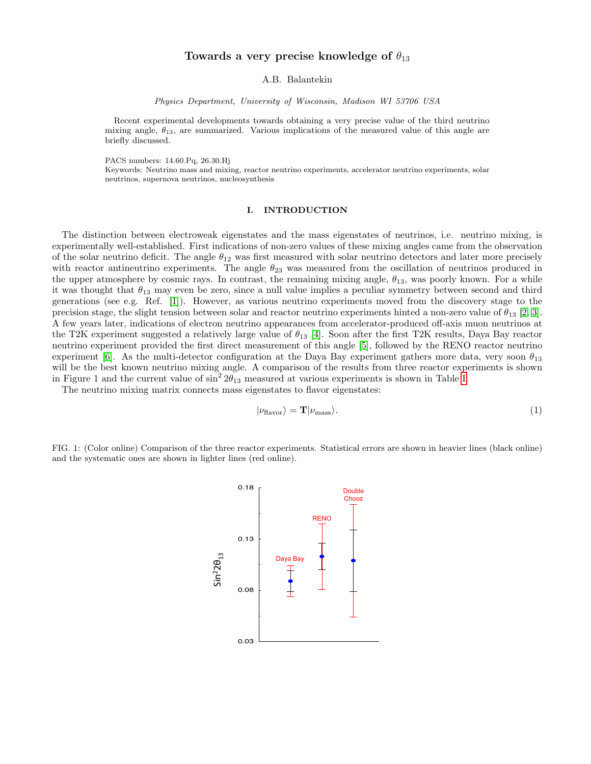# Towards a very precise knowledge of  $\theta_{13}$

A.B. Balantekin

Physics Department, University of Wisconsin, Madison WI 53706 USA

Recent experimental developments towards obtaining a very precise value of the third neutrino mixing angle,  $\theta_{13}$ , are summarized. Various implications of the measured value of this angle are briefly discussed.

PACS numbers: 14.60.Pq, 26.30.Hj

Keywords: Neutrino mass and mixing, reactor neutrino experiments, accelerator neutrino experiments, solar neutrinos, supernova neutrinos, nucleosynthesis

#### I. INTRODUCTION

The distinction between electroweak eigenstates and the mass eigenstates of neutrinos, i.e. neutrino mixing, is experimentally well-established. First indications of non-zero values of these mixing angles came from the observation of the solar neutrino deficit. The angle  $\theta_{12}$  was first measured with solar neutrino detectors and later more precisely with reactor antineutrino experiments. The angle  $\theta_{23}$  was measured from the oscillation of neutrinos produced in the upper atmosphere by cosmic rays. In contrast, the remaining mixing angle,  $\theta_{13}$ , was poorly known. For a while it was thought that  $\theta_{13}$  may even be zero, since a null value implies a peculiar symmetry between second and third generations (see e.g. Ref. [\[1\]](#page-4-0)). However, as various neutrino experiments moved from the discovery stage to the precision stage, the slight tension between solar and reactor neutrino experiments hinted a non-zero value of  $\theta_{13}$  [\[2,](#page-4-1) [3\]](#page-4-2). A few years later, indications of electron neutrino appearances from accelerator-produced off-axis muon neutrinos at the T2K experiment suggested a relatively large value of  $\theta_{13}$  [\[4\]](#page-4-3). Soon after the first T2K results, Daya Bay reactor neutrino experiment provided the first direct measurement of this angle [\[5\]](#page-4-4), followed by the RENO reactor neutrino experiment [\[6\]](#page-4-5). As the multi-detector configuration at the Daya Bay experiment gathers more data, very soon  $\theta_{13}$ will be the best known neutrino mixing angle. A comparison of the results from three reactor experiments is shown in Figure 1 and the current value of  $\sin^2 2\theta_{13}$  measured at various experiments is shown in Table [I.](#page-1-0)

The neutrino mixing matrix connects mass eigenstates to flavor eigenstates:

$$
|\nu_{\text{flavor}}\rangle = \mathbf{T}|\nu_{\text{mass}}\rangle. \tag{1}
$$

FIG. 1: (Color online) Comparison of the three reactor experiments. Statistical errors are shown in heavier lines (black online) and the systematic ones are shown in lighter lines (red online).

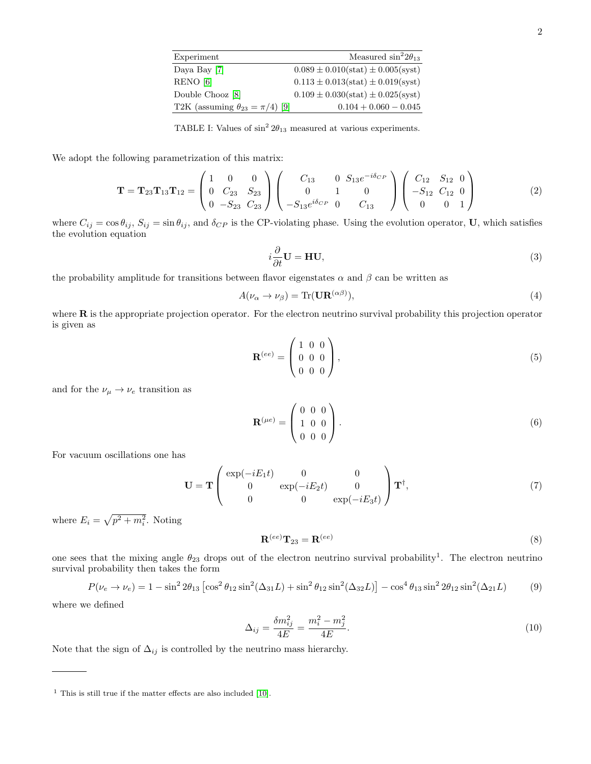| Experiment                                | Measured $\sin^2 2\theta_{13}$          |
|-------------------------------------------|-----------------------------------------|
| Daya Bay [7]                              | $0.089 \pm 0.010(stat) \pm 0.005(syst)$ |
| RENO [6]                                  | $0.113 \pm 0.013(stat) \pm 0.019(syst)$ |
| Double Chooz [8]                          | $0.109 \pm 0.030(stat) \pm 0.025(syst)$ |
| T2K (assuming $\theta_{23} = \pi/4$ ) [9] | $0.104 + 0.060 - 0.045$                 |

<span id="page-1-0"></span>TABLE I: Values of  $\sin^2 2\theta_{13}$  measured at various experiments.

We adopt the following parametrization of this matrix:

$$
\mathbf{T} = \mathbf{T}_{23} \mathbf{T}_{13} \mathbf{T}_{12} = \begin{pmatrix} 1 & 0 & 0 \\ 0 & C_{23} & S_{23} \\ 0 & -S_{23} & C_{23} \end{pmatrix} \begin{pmatrix} C_{13} & 0 & S_{13}e^{-i\delta_{CP}} \\ 0 & 1 & 0 \\ -S_{13}e^{i\delta_{CP}} & 0 & C_{13} \end{pmatrix} \begin{pmatrix} C_{12} & S_{12} & 0 \\ -S_{12} & C_{12} & 0 \\ 0 & 0 & 1 \end{pmatrix}
$$
(2)

where  $C_{ij} = \cos \theta_{ij}$ ,  $S_{ij} = \sin \theta_{ij}$ , and  $\delta_{CP}$  is the CP-violating phase. Using the evolution operator, U, which satisfies the evolution equation

$$
i\frac{\partial}{\partial t}\mathbf{U} = \mathbf{HU},\tag{3}
$$

the probability amplitude for transitions between flavor eigenstates  $\alpha$  and  $\beta$  can be written as

$$
A(\nu_{\alpha} \to \nu_{\beta}) = \text{Tr}(\mathbf{U}\mathbf{R}^{(\alpha\beta)}),\tag{4}
$$

where  **is the appropriate projection operator. For the electron neutrino survival probability this projection operator** is given as

$$
\mathbf{R}^{(ee)} = \begin{pmatrix} 1 & 0 & 0 \\ 0 & 0 & 0 \\ 0 & 0 & 0 \end{pmatrix}, \tag{5}
$$

and for the  $\nu_\mu \rightarrow \nu_e$  transition as

$$
\mathbf{R}^{(\mu e)} = \begin{pmatrix} 0 & 0 & 0 \\ 1 & 0 & 0 \\ 0 & 0 & 0 \end{pmatrix} . \tag{6}
$$

For vacuum oscillations one has

$$
\mathbf{U} = \mathbf{T} \begin{pmatrix} \exp(-iE_1t) & 0 & 0 \\ 0 & \exp(-iE_2t) & 0 \\ 0 & 0 & \exp(-iE_3t) \end{pmatrix} \mathbf{T}^{\dagger}, \tag{7}
$$

where  $E_i = \sqrt{p^2 + m_i^2}$ . Noting

$$
\mathbf{R}^{(ee)}\mathbf{T}_{23} = \mathbf{R}^{(ee)}\tag{8}
$$

one sees that the mixing angle  $\theta_{23}$  drops out of the electron neutrino survival probability<sup>1</sup>. The electron neutrino survival probability then takes the form

<span id="page-1-1"></span>
$$
P(\nu_e \to \nu_e) = 1 - \sin^2 2\theta_{13} \left[ \cos^2 \theta_{12} \sin^2 (\Delta_{31} L) + \sin^2 \theta_{12} \sin^2 (\Delta_{32} L) \right] - \cos^4 \theta_{13} \sin^2 2\theta_{12} \sin^2 (\Delta_{21} L)
$$
(9)

where we defined

$$
\Delta_{ij} = \frac{\delta m_{ij}^2}{4E} = \frac{m_i^2 - m_j^2}{4E}.
$$
\n(10)

Note that the sign of  $\Delta_{ij}$  is controlled by the neutrino mass hierarchy.

 $<sup>1</sup>$  This is still true if the matter effects are also included [\[10\]](#page-4-9).</sup>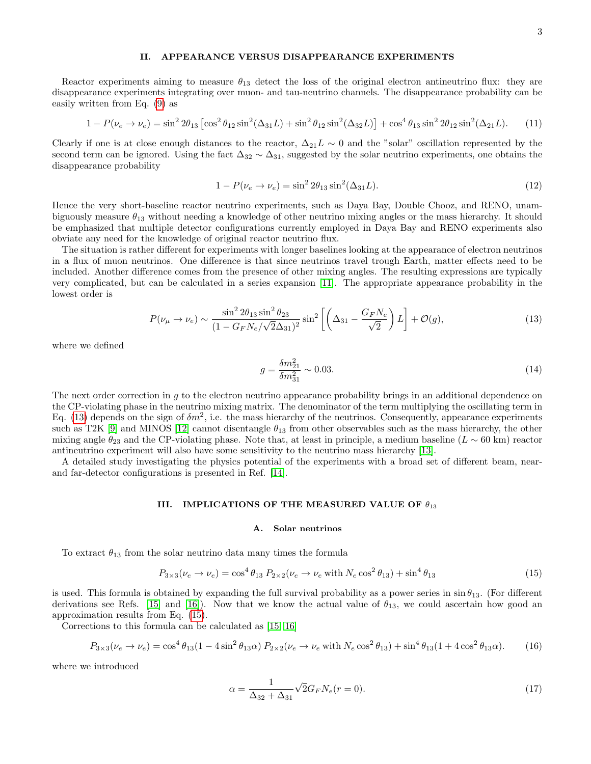### II. APPEARANCE VERSUS DISAPPEARANCE EXPERIMENTS

Reactor experiments aiming to measure  $\theta_{13}$  detect the loss of the original electron antineutrino flux: they are disappearance experiments integrating over muon- and tau-neutrino channels. The disappearance probability can be easily written from Eq. [\(9\)](#page-1-1) as

$$
1 - P(\nu_e \to \nu_e) = \sin^2 2\theta_{13} \left[ \cos^2 \theta_{12} \sin^2 (\Delta_{31} L) + \sin^2 \theta_{12} \sin^2 (\Delta_{32} L) \right] + \cos^4 \theta_{13} \sin^2 2\theta_{12} \sin^2 (\Delta_{21} L). \tag{11}
$$

Clearly if one is at close enough distances to the reactor,  $\Delta_{21}L \sim 0$  and the "solar" oscillation represented by the second term can be ignored. Using the fact  $\Delta_{32} \sim \Delta_{31}$ , suggested by the solar neutrino experiments, one obtains the disappearance probability

$$
1 - P(\nu_e \to \nu_e) = \sin^2 2\theta_{13} \sin^2(\Delta_{31} L). \tag{12}
$$

Hence the very short-baseline reactor neutrino experiments, such as Daya Bay, Double Chooz, and RENO, unambiguously measure  $\theta_{13}$  without needing a knowledge of other neutrino mixing angles or the mass hierarchy. It should be emphasized that multiple detector configurations currently employed in Daya Bay and RENO experiments also obviate any need for the knowledge of original reactor neutrino flux.

The situation is rather different for experiments with longer baselines looking at the appearance of electron neutrinos in a flux of muon neutrinos. One difference is that since neutrinos travel trough Earth, matter effects need to be included. Another difference comes from the presence of other mixing angles. The resulting expressions are typically very complicated, but can be calculated in a series expansion [\[11\]](#page-4-10). The appropriate appearance probability in the lowest order is

<span id="page-2-0"></span>
$$
P(\nu_{\mu} \to \nu_{e}) \sim \frac{\sin^{2} 2\theta_{13} \sin^{2} \theta_{23}}{(1 - G_{F} N_{e} / \sqrt{2}\Delta_{31})^{2}} \sin^{2} \left[ \left( \Delta_{31} - \frac{G_{F} N_{e}}{\sqrt{2}} \right) L \right] + \mathcal{O}(g), \tag{13}
$$

where we defined

$$
g = \frac{\delta m_{21}^2}{\delta m_{31}^2} \sim 0.03. \tag{14}
$$

The next order correction in g to the electron neutrino appearance probability brings in an additional dependence on the CP-violating phase in the neutrino mixing matrix. The denominator of the term multiplying the oscillating term in Eq. [\(13\)](#page-2-0) depends on the sign of  $\delta m^2$ , i.e. the mass hierarchy of the neutrinos. Consequently, appearance experiments such as T2K [\[9\]](#page-4-8) and MINOS [\[12\]](#page-4-11) cannot disentangle  $\theta_{13}$  from other observables such as the mass hierarchy, the other mixing angle  $\theta_{23}$  and the CP-violating phase. Note that, at least in principle, a medium baseline ( $L \sim 60 \text{ km}$ ) reactor antineutrino experiment will also have some sensitivity to the neutrino mass hierarchy [\[13\]](#page-4-12).

A detailed study investigating the physics potential of the experiments with a broad set of different beam, nearand far-detector configurations is presented in Ref. [\[14\]](#page-4-13).

### III. IMPLICATIONS OF THE MEASURED VALUE OF  $\theta_{13}$

#### A. Solar neutrinos

To extract  $\theta_{13}$  from the solar neutrino data many times the formula

<span id="page-2-1"></span>
$$
P_{3\times3}(\nu_e \to \nu_e) = \cos^4 \theta_{13} P_{2\times2}(\nu_e \to \nu_e \text{ with } N_e \cos^2 \theta_{13}) + \sin^4 \theta_{13}
$$
\n(15)

is used. This formula is obtained by expanding the full survival probability as a power series in  $\sin \theta_{13}$ . (For different derivations see Refs. [\[15\]](#page-4-14) and [\[16\]](#page-4-15)). Now that we know the actual value of  $\theta_{13}$ , we could ascertain how good an approximation results from Eq. [\(15\)](#page-2-1).

Corrections to this formula can be calculated as [\[15,](#page-4-14) [16\]](#page-4-15)

<span id="page-2-2"></span>
$$
P_{3\times3}(\nu_e \to \nu_e) = \cos^4 \theta_{13} (1 - 4\sin^2 \theta_{13} \alpha) P_{2\times2}(\nu_e \to \nu_e \text{ with } N_e \cos^2 \theta_{13}) + \sin^4 \theta_{13} (1 + 4\cos^2 \theta_{13} \alpha). \tag{16}
$$

where we introduced

$$
\alpha = \frac{1}{\Delta_{32} + \Delta_{31}} \sqrt{2} G_F N_e(r=0).
$$
\n(17)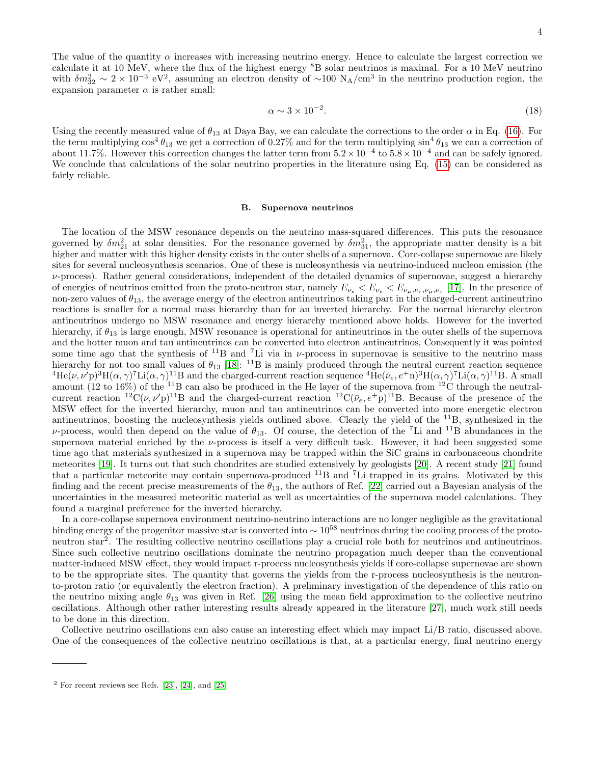The value of the quantity  $\alpha$  increases with increasing neutrino energy. Hence to calculate the largest correction we calculate it at 10 MeV, where the flux of the highest energy <sup>8</sup>B solar neutrinos is maximal. For a 10 MeV neutrino with  $\delta m_{32}^2 \sim 2 \times 10^{-3}$  eV<sup>2</sup>, assuming an electron density of ~100 N<sub>A</sub>/cm<sup>3</sup> in the neutrino production region, the expansion parameter  $\alpha$  is rather small:

$$
\alpha \sim 3 \times 10^{-2}.\tag{18}
$$

Using the recently measured value of  $\theta_{13}$  at Daya Bay, we can calculate the corrections to the order  $\alpha$  in Eq. [\(16\)](#page-2-2). For the term multiplying  $\cos^4 \theta_{13}$  we get a correction of 0.27% and for the term multiplying  $\sin^4 \theta_{13}$  we can a correction of about 11.7%. However this correction changes the latter term from  $5.2 \times 10^{-4}$  to  $5.8 \times 10^{-4}$  and can be safely ignored. We conclude that calculations of the solar neutrino properties in the literature using Eq. [\(15\)](#page-2-1) can be considered as fairly reliable.

#### B. Supernova neutrinos

The location of the MSW resonance depends on the neutrino mass-squared differences. This puts the resonance governed by  $\delta m_{21}^2$  at solar densities. For the resonance governed by  $\delta m_{31}^2$ , the appropriate matter density is a bit higher and matter with this higher density exists in the outer shells of a supernova. Core-collapse supernovae are likely sites for several nucleosynthesis scenarios. One of these is nucleosynthesis via neutrino-induced nucleon emission (the  $\nu$ -process). Rather general considerations, independent of the detailed dynamics of supernovae, suggest a hierarchy of energies of neutrinos emitted from the proto-neutron star, namely  $E_{\nu_e} < E_{\bar{\nu}_e} < E_{\nu_\mu,\nu_\tau,\bar{\nu}_\mu,\bar{\nu}_\tau}$  [\[17\]](#page-4-16). In the presence of non-zero values of  $\theta_{13}$ , the average energy of the electron antineutrinos taking part in the charged-current antineutrino reactions is smaller for a normal mass hierarchy than for an inverted hierarchy. For the normal hierarchy electron antineutrinos undergo no MSW resonance and energy hierarchy mentioned above holds. However for the inverted hierarchy, if  $\theta_{13}$  is large enough, MSW resonance is operational for antineutrinos in the outer shells of the supernova and the hotter muon and tau antineutrinos can be converted into electron antineutrinos, Consequently it was pointed some time ago that the synthesis of  $^{11}B$  and  $^{7}Li$  via in  $\nu$ -process in supernovae is sensitive to the neutrino mass hierarchy for not too small values of  $\theta_{13}$  [\[18\]](#page-4-17): <sup>11</sup>B is mainly produced through the neutral current reaction sequence  ${}^{4}He(\nu, \nu'p) {}^{3}H(\alpha, \gamma) {}^{7}Li(\alpha, \gamma) {}^{11}B$  and the charged-current reaction sequence  ${}^{4}He(\bar{\nu}_e, e^+n) {}^{3}H(\alpha, \gamma) {}^{7}Li(\alpha, \gamma) {}^{11}B$ . A small amount (12 to 16%) of the <sup>11</sup>B can also be produced in the He layer of the supernova from <sup>12</sup>C through the neutralcurrent reaction  ${}^{12}C(\nu, \nu'p)^{11}B$  and the charged-current reaction  ${}^{12}C(\bar{\nu}_e, e^+p)^{11}B$ . Because of the presence of the MSW effect for the inverted hierarchy, muon and tau antineutrinos can be converted into more energetic electron antineutrinos, boosting the nucleosynthesis yields outlined above. Clearly the yield of the <sup>11</sup>B, synthesized in the  $\nu$ -process, would then depend on the value of  $\theta_{13}$ . Of course, the detection of the <sup>7</sup>Li and <sup>11</sup>B abundances in the supernova material enriched by the  $\nu$ -process is itself a very difficult task. However, it had been suggested some time ago that materials synthesized in a supernova may be trapped within the SiC grains in carbonaceous chondrite meteorites [\[19\]](#page-4-18). It turns out that such chondrites are studied extensively by geologists [\[20\]](#page-4-19). A recent study [\[21\]](#page-4-20) found that a particular meteorite may contain supernova-produced <sup>11</sup>B and <sup>7</sup>Li trapped in its grains. Motivated by this finding and the recent precise measurements of the  $\theta_{13}$ , the authors of Ref. [\[22\]](#page-4-21) carried out a Bayesian analysis of the uncertainties in the measured meteoritic material as well as uncertainties of the supernova model calculations. They found a marginal preference for the inverted hierarchy.

In a core-collapse supernova environment neutrino-neutrino interactions are no longer negligible as the gravitational binding energy of the progenitor massive star is converted into ∼ 10<sup>58</sup> neutrinos during the cooling process of the protoneutron star<sup>2</sup>. The resulting collective neutrino oscillations play a crucial role both for neutrinos and antineutrinos. Since such collective neutrino oscillations dominate the neutrino propagation much deeper than the conventional matter-induced MSW effect, they would impact r-process nucleosynthesis yields if core-collapse supernovae are shown to be the appropriate sites. The quantity that governs the yields from the r-process nucleosynthesis is the neutronto-proton ratio (or equivalently the electron fraction). A preliminary investigation of the dependence of this ratio on the neutrino mixing angle  $\theta_{13}$  was given in Ref. [\[26\]](#page-4-22) using the mean field approximation to the collective neutrino oscillations. Although other rather interesting results already appeared in the literature [\[27\]](#page-4-23), much work still needs to be done in this direction.

Collective neutrino oscillations can also cause an interesting effect which may impact Li/B ratio, discussed above. One of the consequences of the collective neutrino oscillations is that, at a particular energy, final neutrino energy

 $2$  For recent reviews see Refs. [\[23\]](#page-4-24), [\[24\]](#page-4-25), and [\[25\]](#page-4-26)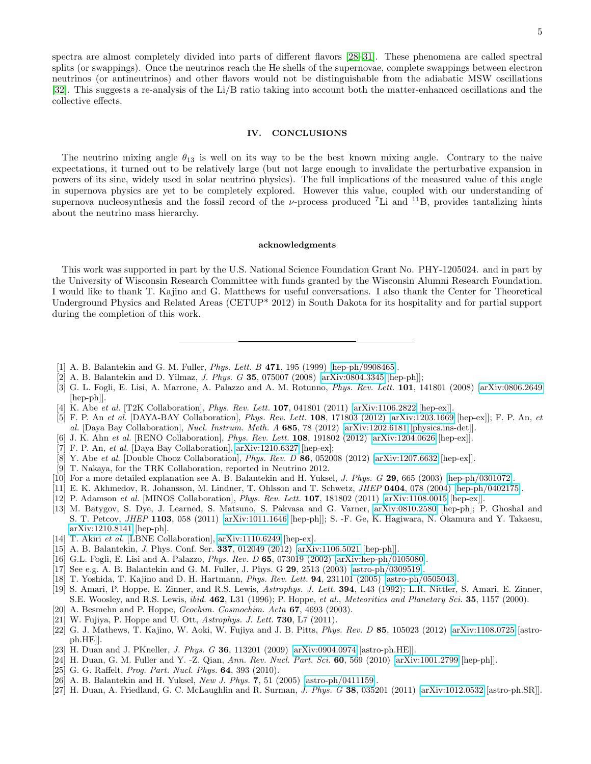5

spectra are almost completely divided into parts of different flavors [\[28–](#page-5-0)[31\]](#page-5-1). These phenomena are called spectral splits (or swappings). Once the neutrinos reach the He shells of the supernovae, complete swappings between electron neutrinos (or antineutrinos) and other flavors would not be distinguishable from the adiabatic MSW oscillations [\[32\]](#page-5-2). This suggests a re-analysis of the Li/B ratio taking into account both the matter-enhanced oscillations and the collective effects.

## IV. CONCLUSIONS

The neutrino mixing angle  $\theta_{13}$  is well on its way to be the best known mixing angle. Contrary to the naive expectations, it turned out to be relatively large (but not large enough to invalidate the perturbative expansion in powers of its sine, widely used in solar neutrino physics). The full implications of the measured value of this angle in supernova physics are yet to be completely explored. However this value, coupled with our understanding of supernova nucleosynthesis and the fossil record of the  $\nu$ -process produced <sup>7</sup>Li and <sup>11</sup>B, provides tantalizing hints about the neutrino mass hierarchy.

#### acknowledgments

This work was supported in part by the U.S. National Science Foundation Grant No. PHY-1205024. and in part by the University of Wisconsin Research Committee with funds granted by the Wisconsin Alumni Research Foundation. I would like to thank T. Kajino and G. Matthews for useful conversations. I also thank the Center for Theoretical Underground Physics and Related Areas (CETUP\* 2012) in South Dakota for its hospitality and for partial support during the completion of this work.

- <span id="page-4-0"></span>[1] A. B. Balantekin and G. M. Fuller, Phys. Lett. B 471, 195 (1999) [\[hep-ph/9908465\]](http://arxiv.org/abs/hep-ph/9908465).
- <span id="page-4-1"></span>[2] A. B. Balantekin and D. Yilmaz, J. Phys. G 35, 075007 (2008) [\[arXiv:0804.3345](http://arxiv.org/abs/0804.3345) [hep-ph]];
- <span id="page-4-2"></span>[3] G. L. Fogli, E. Lisi, A. Marrone, A. Palazzo and A. M. Rotunno, Phys. Rev. Lett. 101, 141801 (2008) [\[arXiv:0806.2649](http://arxiv.org/abs/0806.2649) [hep-ph]].
- <span id="page-4-3"></span>[4] K. Abe et al. [T2K Collaboration], *Phys. Rev. Lett.* **107**, 041801 (2011) [\[arXiv:1106.2822](http://arxiv.org/abs/1106.2822) [hep-ex]].
- <span id="page-4-4"></span>[5] F. P. An et al. [DAYA-BAY Collaboration], *Phys. Rev. Lett.* **108**, 171803 (2012) [\[arXiv:1203.1669](http://arxiv.org/abs/1203.1669) [hep-ex]]; F. P. An, et al. [Daya Bay Collaboration], Nucl. Instrum. Meth. A 685, 78 (2012) [\[arXiv:1202.6181](http://arxiv.org/abs/1202.6181) [physics.ins-det]].
- <span id="page-4-5"></span>[6] J. K. Ahn et al. [RENO Collaboration], *Phys. Rev. Lett.* **108**, 191802 (2012) [\[arXiv:1204.0626](http://arxiv.org/abs/1204.0626) [hep-ex]].
- <span id="page-4-6"></span>[7] F. P. An, et al. [Daya Bay Collaboration],  $arXiv:1210.6327$  [hep-ex];
- <span id="page-4-7"></span>[8] Y. Abe et al. [Double Chooz Collaboration], *Phys. Rev. D* 86, 052008 (2012) [\[arXiv:1207.6632](http://arxiv.org/abs/1207.6632) [hep-ex]].
- <span id="page-4-8"></span>[9] T. Nakaya, for the TRK Collaboration, reported in Neutrino 2012.
- <span id="page-4-9"></span>[10] For a more detailed explanation see A. B. Balantekin and H. Yuksel, J. Phys. G 29, 665 (2003) [\[hep-ph/0301072\]](http://arxiv.org/abs/hep-ph/0301072).
- <span id="page-4-10"></span>[11] E. K. Akhmedov, R. Johansson, M. Lindner, T. Ohlsson and T. Schwetz, JHEP 0404, 078 (2004) [\[hep-ph/0402175\]](http://arxiv.org/abs/hep-ph/0402175).
- <span id="page-4-11"></span>[12] P. Adamson et al. [MINOS Collaboration], *Phys. Rev. Lett.* **107**, 181802 (2011) [\[arXiv:1108.0015](http://arxiv.org/abs/1108.0015) [hep-ex]].
- <span id="page-4-12"></span>[13] M. Batygov, S. Dye, J. Learned, S. Matsuno, S. Pakvasa and G. Varner, [arXiv:0810.2580](http://arxiv.org/abs/0810.2580) [hep-ph]; P. Ghoshal and S. T. Petcov, JHEP 1103, 058 (2011) [\[arXiv:1011.1646](http://arxiv.org/abs/1011.1646) [hep-ph]]; S. -F. Ge, K. Hagiwara, N. Okamura and Y. Takaesu, [arXiv:1210.8141](http://arxiv.org/abs/1210.8141) [hep-ph].
- <span id="page-4-13"></span>[14] T. Akiri et al. [LBNE Collaboration], [arXiv:1110.6249](http://arxiv.org/abs/1110.6249) [hep-ex].
- <span id="page-4-14"></span>[15] A. B. Balantekin, J. Phys. Conf. Ser. 337, 012049 (2012) [\[arXiv:1106.5021](http://arxiv.org/abs/1106.5021) [hep-ph]].
- <span id="page-4-15"></span>[16] G.L. Fogli, E. Lisi and A. Palazzo, *Phys. Rev. D* 65, 073019 (2002) [\[arXiv:hep-ph/0105080\]](http://arxiv.org/abs/hep-ph/0105080).
- <span id="page-4-16"></span>[17] See e.g. A. B. Balantekin and G. M. Fuller, J. Phys. G 29, 2513 (2003) [\[astro-ph/0309519\]](http://arxiv.org/abs/astro-ph/0309519).
- <span id="page-4-17"></span>[18] T. Yoshida, T. Kajino and D. H. Hartmann, Phys. Rev. Lett. 94, 231101 (2005) [\[astro-ph/0505043\]](http://arxiv.org/abs/astro-ph/0505043).
- <span id="page-4-18"></span>[19] S. Amari, P. Hoppe, E. Zinner, and R.S. Lewis, Astrophys. J. Lett. 394, L43 (1992); L.R. Nittler, S. Amari, E. Zinner, S.E. Woosley, and R.S. Lewis, *ibid.* 462, L31 (1996); P. Hoppe, et al., Meteoritics and Planetary Sci. 35, 1157 (2000).
- <span id="page-4-19"></span>[20] A. Besmehn and P. Hoppe, *Geochim. Cosmochim. Acta* **67**, 4693 (2003).
- <span id="page-4-20"></span>[21] W. Fujiya, P. Hoppe and U. Ott, Astrophys. J. Lett. **730**, L7 (2011).
- <span id="page-4-21"></span>[22] G. J. Mathews, T. Kajino, W. Aoki, W. Fujiya and J. B. Pitts, Phys. Rev. D 85, 105023 (2012) [\[arXiv:1108.0725](http://arxiv.org/abs/1108.0725) [astroph.HE]].
- <span id="page-4-24"></span>[23] H. Duan and J. PKneller, *J. Phys. G* **36**, 113201 (2009) [\[arXiv:0904.0974](http://arxiv.org/abs/0904.0974) [astro-ph.HE]].
- <span id="page-4-25"></span>[24] H. Duan, G. M. Fuller and Y. -Z. Qian, Ann. Rev. Nucl. Part. Sci.  $60, 569$  (2010) [\[arXiv:1001.2799](http://arxiv.org/abs/1001.2799) [hep-ph]].
- <span id="page-4-26"></span>[25] G. G. Raffelt, *Prog. Part. Nucl. Phys.* **64**, 393 (2010).
- <span id="page-4-22"></span>[26] A. B. Balantekin and H. Yuksel, New J. Phys. 7, 51 (2005) [\[astro-ph/0411159\]](http://arxiv.org/abs/astro-ph/0411159).
- <span id="page-4-23"></span>[27] H. Duan, A. Friedland, G. C. McLaughlin and R. Surman, *J. Phys. G* 38, 035201 (2011) [\[arXiv:1012.0532](http://arxiv.org/abs/1012.0532) [astro-ph.SR]].